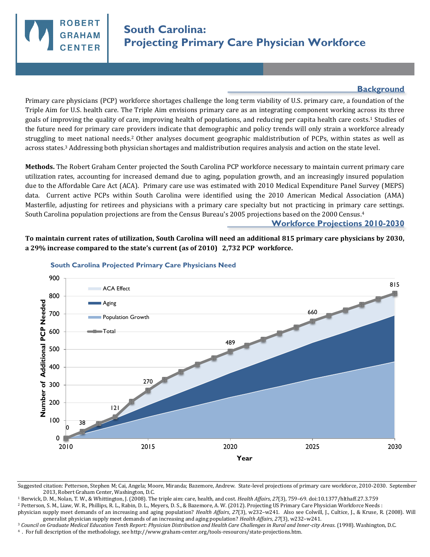

## **Background**

Primary care physicians (PCP) workforce shortages challenge the long term viability of U.S. primary care, a foundation of the Triple Aim for U.S. health care. The Triple Aim envisions primary care as an integrating component working across its three goals of improving the quality of care, improving health of populations, and reducing per capita health care costs.1 Studies of the future need for primary care providers indicate that demographic and policy trends will only strain a workforce already struggling to meet national needs.2 Other analyses document geographic maldistribution of PCPs, within states as well as across states.3 Addressing both physician shortages and maldistribution requires analysis and action on the state level.

**Methods.** The Robert Graham Center projected the South Carolina PCP workforce necessary to maintain current primary care utilization rates, accounting for increased demand due to aging, population growth, and an increasingly insured population due to the Affordable Care Act (ACA). Primary care use was estimated with 2010 Medical Expenditure Panel Survey (MEPS) data. Current active PCPs within South Carolina were identified using the 2010 American Medical Association (AMA) Masterfile, adjusting for retirees and physicians with a primary care specialty but not practicing in primary care settings. South Carolina population projections are from the Census Bureau's 2005 projections based on the 2000 Census.<sup>4</sup>

## **Workforce Projections 2010-2030**

**To maintain current rates of utilization, South Carolina will need an additional 815 primary care physicians by 2030, a 29% increase compared to the state's current (as of 2010) 2,732 PCP workforce.** 



## **South Carolina Projected Primary Care Physicians Need**

Suggested citation: Petterson, Stephen M; Cai, Angela; Moore, Miranda; Bazemore, Andrew. State-level projections of primary care workforce, 2010-2030. September 2013, Robert Graham Center, Washington, D.C.

<sup>1</sup> Berwick, D. M., Nolan, T. W., & Whittington, J. (2008). The triple aim: care, health, and cost. *Health Affairs*, *27*(3), 759–69. doi:10.1377/hlthaff.27.3.759

<sup>2</sup> Petterson, S. M., Liaw, W. R., Phillips, R. L., Rabin, D. L., Meyers, D. S., & Bazemore, A. W. (2012). Projecting US Primary Care Physician Workforce Needs :

physician supply meet demands of an increasing and aging population? *Health Affairs*, *27*(3), w232–w241. Also see Colwill, J., Cultice, J., & Kruse, R. (2008). Will generalist physician supply meet demands of an increasing and aging population? *Health Affairs*, *27*(3), w232–w241.

<sup>3</sup> *Council on Graduate Medical Education Tenth Report: Physician Distribution and Health Care Challenges in Rural and Inner-city Areas*. (1998). Washington, D.C.

<sup>4</sup>. For full description of the methodology, see http://www.graham-center.org/tools-resources/state-projections.htm.